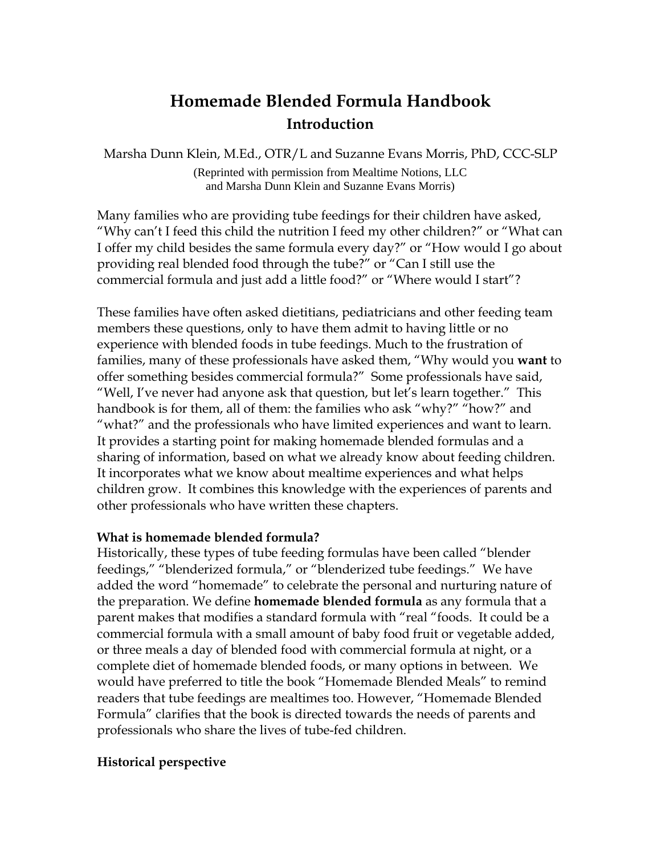# **Homemade Blended Formula Handbook Introduction**

Marsha Dunn Klein, M.Ed., OTR/L and Suzanne Evans Morris, PhD, CCC-SLP

(Reprinted with permission from Mealtime Notions, LLC and Marsha Dunn Klein and Suzanne Evans Morris)

Many families who are providing tube feedings for their children have asked, "Why can't I feed this child the nutrition I feed my other children?" or "What can I offer my child besides the same formula every day?" or "How would I go about providing real blended food through the tube?" or "Can I still use the commercial formula and just add a little food?" or "Where would I start"?

These families have often asked dietitians, pediatricians and other feeding team members these questions, only to have them admit to having little or no experience with blended foods in tube feedings. Much to the frustration of families, many of these professionals have asked them, "Why would you **want** to offer something besides commercial formula?" Some professionals have said, "Well, I've never had anyone ask that question, but let's learn together." This handbook is for them, all of them: the families who ask "why?" "how?" and "what?" and the professionals who have limited experiences and want to learn. It provides a starting point for making homemade blended formulas and a sharing of information, based on what we already know about feeding children. It incorporates what we know about mealtime experiences and what helps children grow. It combines this knowledge with the experiences of parents and other professionals who have written these chapters.

## **What is homemade blended formula?**

Historically, these types of tube feeding formulas have been called "blender feedings," "blenderized formula," or "blenderized tube feedings." We have added the word "homemade" to celebrate the personal and nurturing nature of the preparation. We define **homemade blended formula** as any formula that a parent makes that modifies a standard formula with "real "foods. It could be a commercial formula with a small amount of baby food fruit or vegetable added, or three meals a day of blended food with commercial formula at night, or a complete diet of homemade blended foods, or many options in between. We would have preferred to title the book "Homemade Blended Meals" to remind readers that tube feedings are mealtimes too. However, "Homemade Blended Formula" clarifies that the book is directed towards the needs of parents and professionals who share the lives of tube-fed children.

## **Historical perspective**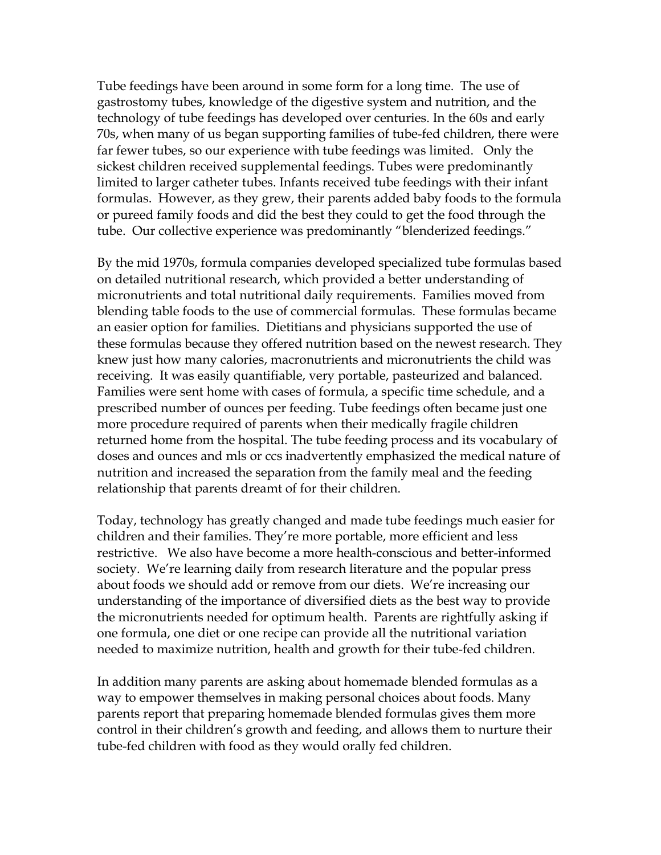Tube feedings have been around in some form for a long time. The use of gastrostomy tubes, knowledge of the digestive system and nutrition, and the technology of tube feedings has developed over centuries. In the 60s and early 70s, when many of us began supporting families of tube-fed children, there were far fewer tubes, so our experience with tube feedings was limited. Only the sickest children received supplemental feedings. Tubes were predominantly limited to larger catheter tubes. Infants received tube feedings with their infant formulas. However, as they grew, their parents added baby foods to the formula or pureed family foods and did the best they could to get the food through the tube. Our collective experience was predominantly "blenderized feedings."

By the mid 1970s, formula companies developed specialized tube formulas based on detailed nutritional research, which provided a better understanding of micronutrients and total nutritional daily requirements. Families moved from blending table foods to the use of commercial formulas. These formulas became an easier option for families. Dietitians and physicians supported the use of these formulas because they offered nutrition based on the newest research. They knew just how many calories, macronutrients and micronutrients the child was receiving. It was easily quantifiable, very portable, pasteurized and balanced. Families were sent home with cases of formula, a specific time schedule, and a prescribed number of ounces per feeding. Tube feedings often became just one more procedure required of parents when their medically fragile children returned home from the hospital. The tube feeding process and its vocabulary of doses and ounces and mls or ccs inadvertently emphasized the medical nature of nutrition and increased the separation from the family meal and the feeding relationship that parents dreamt of for their children.

Today, technology has greatly changed and made tube feedings much easier for children and their families. They're more portable, more efficient and less restrictive. We also have become a more health-conscious and better-informed society. We're learning daily from research literature and the popular press about foods we should add or remove from our diets. We're increasing our understanding of the importance of diversified diets as the best way to provide the micronutrients needed for optimum health. Parents are rightfully asking if one formula, one diet or one recipe can provide all the nutritional variation needed to maximize nutrition, health and growth for their tube-fed children.

In addition many parents are asking about homemade blended formulas as a way to empower themselves in making personal choices about foods. Many parents report that preparing homemade blended formulas gives them more control in their children's growth and feeding, and allows them to nurture their tube-fed children with food as they would orally fed children.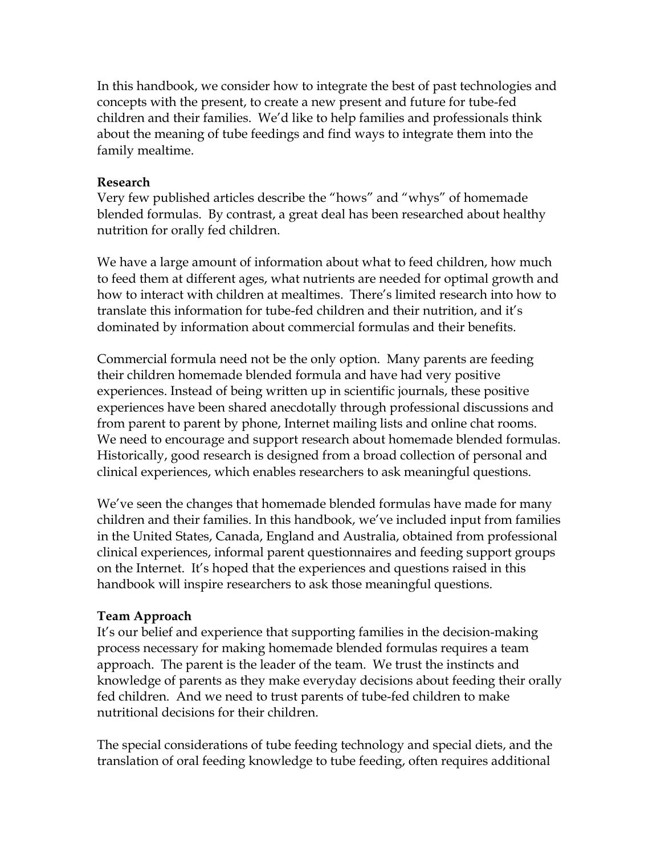In this handbook, we consider how to integrate the best of past technologies and concepts with the present, to create a new present and future for tube-fed children and their families. We'd like to help families and professionals think about the meaning of tube feedings and find ways to integrate them into the family mealtime.

### **Research**

Very few published articles describe the "hows" and "whys" of homemade blended formulas. By contrast, a great deal has been researched about healthy nutrition for orally fed children.

We have a large amount of information about what to feed children, how much to feed them at different ages, what nutrients are needed for optimal growth and how to interact with children at mealtimes. There's limited research into how to translate this information for tube-fed children and their nutrition, and it's dominated by information about commercial formulas and their benefits.

Commercial formula need not be the only option. Many parents are feeding their children homemade blended formula and have had very positive experiences. Instead of being written up in scientific journals, these positive experiences have been shared anecdotally through professional discussions and from parent to parent by phone, Internet mailing lists and online chat rooms. We need to encourage and support research about homemade blended formulas. Historically, good research is designed from a broad collection of personal and clinical experiences, which enables researchers to ask meaningful questions.

We've seen the changes that homemade blended formulas have made for many children and their families. In this handbook, we've included input from families in the United States, Canada, England and Australia, obtained from professional clinical experiences, informal parent questionnaires and feeding support groups on the Internet. It's hoped that the experiences and questions raised in this handbook will inspire researchers to ask those meaningful questions.

## **Team Approach**

It's our belief and experience that supporting families in the decision-making process necessary for making homemade blended formulas requires a team approach. The parent is the leader of the team. We trust the instincts and knowledge of parents as they make everyday decisions about feeding their orally fed children. And we need to trust parents of tube-fed children to make nutritional decisions for their children.

The special considerations of tube feeding technology and special diets, and the translation of oral feeding knowledge to tube feeding, often requires additional